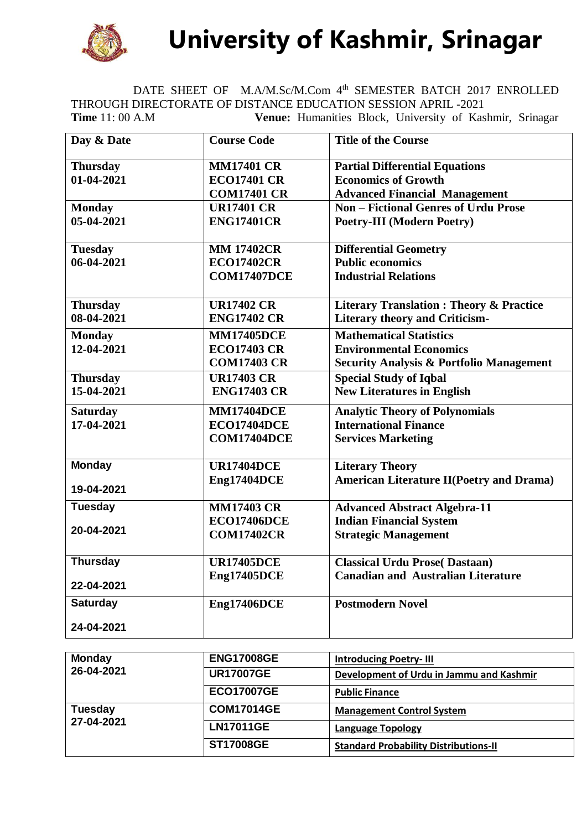

 **University of Kashmir, Srinagar**

DATE SHEET OF M.A/M.Sc/M.Com 4<sup>th</sup> SEMESTER BATCH 2017 ENROLLED THROUGH DIRECTORATE OF DISTANCE EDUCATION SESSION APRIL -2021 **Time** 11: 00 A.M **Venue:** Humanities Block, University of Kashmir, Srinagar

| Day & Date      | <b>Course Code</b> | <b>Title of the Course</b>                          |
|-----------------|--------------------|-----------------------------------------------------|
| <b>Thursday</b> | <b>MM17401 CR</b>  | <b>Partial Differential Equations</b>               |
| 01-04-2021      | <b>ECO17401 CR</b> | <b>Economics of Growth</b>                          |
|                 | <b>COM17401 CR</b> | <b>Advanced Financial Management</b>                |
| <b>Monday</b>   | <b>UR17401 CR</b>  | <b>Non - Fictional Genres of Urdu Prose</b>         |
| 05-04-2021      | <b>ENG17401CR</b>  | <b>Poetry-III (Modern Poetry)</b>                   |
| <b>Tuesday</b>  | <b>MM 17402CR</b>  | <b>Differential Geometry</b>                        |
| 06-04-2021      | <b>ECO17402CR</b>  | <b>Public economics</b>                             |
|                 | <b>COM17407DCE</b> | <b>Industrial Relations</b>                         |
| <b>Thursday</b> | <b>UR17402 CR</b>  | <b>Literary Translation: Theory &amp; Practice</b>  |
| 08-04-2021      | <b>ENG17402 CR</b> | <b>Literary theory and Criticism-</b>               |
| <b>Monday</b>   | <b>MM17405DCE</b>  | <b>Mathematical Statistics</b>                      |
| 12-04-2021      | <b>ECO17403 CR</b> | <b>Environmental Economics</b>                      |
|                 | <b>COM17403 CR</b> | <b>Security Analysis &amp; Portfolio Management</b> |
| <b>Thursday</b> | <b>UR17403 CR</b>  | <b>Special Study of Iqbal</b>                       |
| 15-04-2021      | <b>ENG17403 CR</b> | <b>New Literatures in English</b>                   |
| <b>Saturday</b> | <b>MM17404DCE</b>  | <b>Analytic Theory of Polynomials</b>               |
| 17-04-2021      | <b>ECO17404DCE</b> | <b>International Finance</b>                        |
|                 | <b>COM17404DCE</b> | <b>Services Marketing</b>                           |
| <b>Monday</b>   | <b>UR17404DCE</b>  | <b>Literary Theory</b>                              |
| 19-04-2021      | Eng17404DCE        | <b>American Literature II(Poetry and Drama)</b>     |
| <b>Tuesday</b>  | <b>MM17403 CR</b>  | <b>Advanced Abstract Algebra-11</b>                 |
|                 | <b>ECO17406DCE</b> | <b>Indian Financial System</b>                      |
| 20-04-2021      | <b>COM17402CR</b>  | <b>Strategic Management</b>                         |
| <b>Thursday</b> | <b>UR17405DCE</b>  | <b>Classical Urdu Prose(Dastaan)</b>                |
|                 | <b>Eng17405DCE</b> | <b>Canadian and Australian Literature</b>           |
| 22-04-2021      |                    |                                                     |
| <b>Saturday</b> | <b>Eng17406DCE</b> | <b>Postmodern Novel</b>                             |
| 24-04-2021      |                    |                                                     |

| <b>Monday</b><br>26-04-2021  | <b>ENG17008GE</b> | <b>Introducing Poetry-III</b>                |
|------------------------------|-------------------|----------------------------------------------|
|                              | <b>UR17007GE</b>  | Development of Urdu in Jammu and Kashmir     |
|                              | <b>ECO17007GE</b> | <b>Public Finance</b>                        |
| <b>Tuesday</b><br>27-04-2021 | <b>COM17014GE</b> | <b>Management Control System</b>             |
|                              | <b>LN17011GE</b>  | <b>Language Topology</b>                     |
|                              | <b>ST17008GE</b>  | <b>Standard Probability Distributions-II</b> |